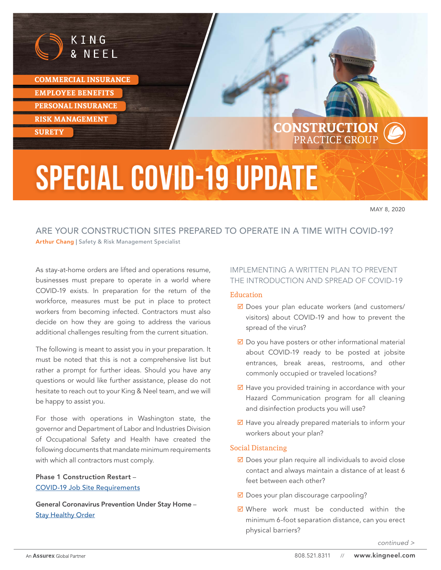

**COMMERCIAL INSURANCE EMPLOYEE BENEFITS PERSONAL INSURANCE RISK MANAGEMENT** 

# **SURETY** CONSTRUCTION PRACTICE GROUP

# **Special COVID-19 Update**

MAY 8, 2020

# ARE YOUR CONSTRUCTION SITES PREPARED TO OPERATE IN A TIME WITH COVID-19? Arthur Chang | Safety & Risk Management Specialist

As stay-at-home orders are lifted and operations resume, businesses must prepare to operate in a world where COVID-19 exists. In preparation for the return of the workforce, measures must be put in place to protect workers from becoming infected. Contractors must also decide on how they are going to address the various additional challenges resulting from the current situation.

The following is meant to assist you in your preparation. It must be noted that this is not a comprehensive list but rather a prompt for further ideas. Should you have any questions or would like further assistance, please do not hesitate to reach out to your King & Neel team, and we will be happy to assist you.

For those with operations in Washington state, the governor and Department of Labor and Industries Division of Occupational Safety and Health have created the following documents that mandate minimum requirements with which all contractors must comply.

#### Phase 1 Construction Restart – [COVID-19 Job Site Requirements](https://www.governor.wa.gov/sites/default/files/Phase%201%20Construction%20COVID-19%20Safety%20Requirements%20%28final%29.pdf)

General Coronavirus Prevention Under Stay Home – **[Stay Healthy Order](https://lni.wa.gov/safety-health/safety-rules/enforcement-policies/DD170.pdf)** 

# IMPLEMENTING A WRITTEN PLAN TO PREVENT THE INTRODUCTION AND SPREAD OF COVID-19

#### Education

- $\boxtimes$  Does your plan educate workers (and customers/ visitors) about COVID-19 and how to prevent the spread of the virus?
- $\boxtimes$  Do you have posters or other informational material about COVID-19 ready to be posted at jobsite entrances, break areas, restrooms, and other commonly occupied or traveled locations?
- $\boxtimes$  Have you provided training in accordance with your Hazard Communication program for all cleaning and disinfection products you will use?
- $\boxtimes$  Have you already prepared materials to inform your workers about your plan?

#### Social Distancing

- $\boxtimes$  Does your plan require all individuals to avoid close contact and always maintain a distance of at least 6 feet between each other?
- $\boxtimes$  Does your plan discourage carpooling?
- $\boxtimes$  Where work must be conducted within the minimum 6-foot separation distance, can you erect physical barriers?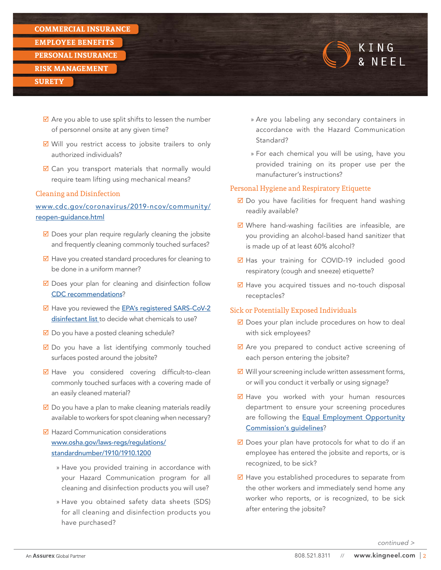#### **COMMERCIAL INSURANCE**

**EMPLOYEE BENEFITS** 

**PERSONAL INSURANCE**

#### **RISK MANAGEMENT**

#### **SURETY**

- $\triangledown$  Are you able to use split shifts to lessen the number of personnel onsite at any given time?
- $\boxtimes$  Will you restrict access to jobsite trailers to only authorized individuals?
- $\boxtimes$  Can you transport materials that normally would require team lifting using mechanical means?

#### Cleaning and Disinfection

# [www.cdc.gov/coronavirus/2019-ncov/community/](https://www.cdc.gov/coronavirus/2019-ncov/community/reopen-guidance.html) [reopen-guidance.html](https://www.cdc.gov/coronavirus/2019-ncov/community/reopen-guidance.html)

- $\boxtimes$  Does your plan require regularly cleaning the jobsite and frequently cleaning commonly touched surfaces?
- $\boxtimes$  Have you created standard procedures for cleaning to be done in a uniform manner?
- $\boxtimes$  Does your plan for cleaning and disinfection follow [CDC recommendations](https://www.cdc.gov/coronavirus/2019-ncov/community/disinfecting-building-facility.html)?
- ◘ Have you reviewed the **[EPA's registered SARS-CoV-2](https://www.epa.gov/pesticide-registration/list-n-disinfectants-use-against-sars-cov-2)** [disinfectant list](https://www.epa.gov/pesticide-registration/list-n-disinfectants-use-against-sars-cov-2) to decide what chemicals to use?
- $\boxtimes$  Do you have a posted cleaning schedule?
- $\boxtimes$  Do you have a list identifying commonly touched surfaces posted around the jobsite?
- $\boxtimes$  Have you considered covering difficult-to-clean commonly touched surfaces with a covering made of an easily cleaned material?
- $\boxtimes$  Do you have a plan to make cleaning materials readily available to workers for spot cleaning when necessary?
- $\boxtimes$  Hazard Communication considerations [www.osha.gov/laws-regs/regulations/](https://www.osha.gov/laws-regs/regulations/standardnumber/1910/1910.1200) [standardnumber/1910/1910.1200](https://www.osha.gov/laws-regs/regulations/standardnumber/1910/1910.1200)
	- » Have you provided training in accordance with your Hazard Communication program for all cleaning and disinfection products you will use?
	- » Have you obtained safety data sheets (SDS) for all cleaning and disinfection products you have purchased?

» Are you labeling any secondary containers in accordance with the Hazard Communication Standard?

KING **& NFFI** 

» For each chemical you will be using, have you provided training on its proper use per the manufacturer's instructions?

#### Personal Hygiene and Respiratory Etiquette

- $\boxtimes$  Do you have facilities for frequent hand washing readily available?
- $\boxtimes$  Where hand-washing facilities are infeasible, are you providing an alcohol-based hand sanitizer that is made up of at least 60% alcohol?
- $\boxtimes$  Has your training for COVID-19 included good respiratory [\(cough and sneeze\) etiquette?](https://www.cdc.gov/healthywater/hygiene/etiquette/coughing_sneezing.html)
- $\boxtimes$  Have you acquired tissues and no-touch disposal receptacles?

#### Sick or Potentially Exposed Individuals

- $\boxtimes$  Does your plan include procedures on how to deal with sick employees?
- $\boxtimes$  Are you prepared to conduct active screening of each person entering the jobsite?
- $\boxtimes$  Will your screening include written assessment forms, or will you conduct it verbally or using signage?
- $\boxtimes$  Have you worked with your human resources department to ensure your screening procedures are following the **[Equal Employment Opportunity](https://www.eeoc.gov/eeoc/newsroom/wysk/wysk_ada_rehabilitaion_act_coronavirus.cfm)** [Commission's guidelines](https://www.eeoc.gov/eeoc/newsroom/wysk/wysk_ada_rehabilitaion_act_coronavirus.cfm)?
- $\boxtimes$  Does your plan have protocols for what to do if an employee has entered the jobsite and reports, or is recognized, to be sick?
- $\boxtimes$  Have you established procedures to separate from the other workers and immediately send home any worker who reports, or is recognized, to be sick after entering the jobsite?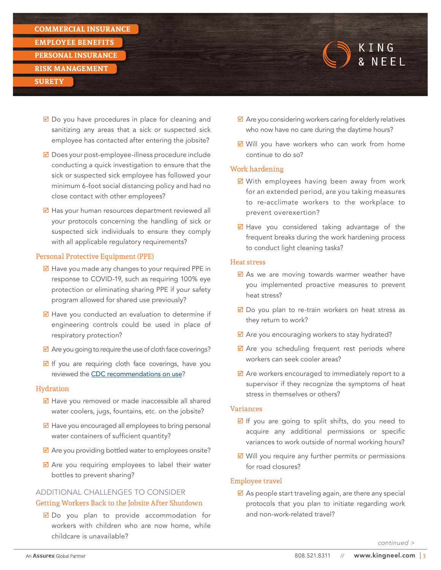**EMPLOYEE BENEFITS** 

**PERSONAL INSURANCE**

#### **RISK MANAGEMENT**

#### **SURETY**

- $\boxtimes$  Do you have procedures in place for cleaning and sanitizing any areas that a sick or suspected sick employee has contacted after entering the jobsite?
- $\boxtimes$  Does your post-employee-illness procedure include conducting a quick investigation to ensure that the sick or suspected sick employee has followed your minimum 6-foot social distancing policy and had no close contact with other employees?
- $\overline{\mathbf{M}}$  Has your human resources department reviewed all your protocols concerning the handling of sick or suspected sick individuals to ensure they comply with all applicable regulatory requirements?

#### Personal Protective Equipment (PPE)

- $\boxtimes$  Have you made any changes to your required PPE in response to COVID-19, such as requiring 100% eye protection or eliminating sharing PPE if your safety program allowed for shared use previously?
- $\boxtimes$  Have you conducted an evaluation to determine if engineering controls could be used in place of respiratory protection?
- $\boxtimes$  Are you going to require the use of cloth face coverings?
- $\boxtimes$  If you are requiring cloth face coverings, have you reviewed the [CDC recommendations on use](https://www.cdc.gov/coronavirus/2019-ncov/prevent-getting-sick/diy-cloth-face-coverings.html)?

#### Hydration

- $\boxtimes$  Have you removed or made inaccessible all shared water coolers, jugs, fountains, etc. on the jobsite?
- $\boxtimes$  Have you encouraged all employees to bring personal water containers of sufficient quantity?
- $\boxtimes$  Are you providing bottled water to employees onsite?
- $\boxtimes$  Are you requiring employees to label their water bottles to prevent sharing?

# ADDITIONAL CHALLENGES TO CONSIDER Getting Workers Back to the Jobsite After Shutdown

 $\boxtimes$  Do you plan to provide accommodation for workers with children who are now home, while childcare is unavailable?

 $\boxtimes$  Are you considering workers caring for elderly relatives who now have no care during the daytime hours?

KING & NFFI

 $\boxtimes$  Will you have workers who can work from home continue to do so?

## Work hardening

- $\boxtimes$  With employees having been away from work for an extended period, are you taking measures to re-acclimate workers to the workplace to prevent overexertion?
- $\boxtimes$  Have you considered taking advantage of the frequent breaks during the work hardening process to conduct light cleaning tasks?

#### Heat stress

- $\boxtimes$  As we are moving towards warmer weather have you implemented proactive measures to prevent heat stress?
- $\boxtimes$  Do you plan to re-train workers on heat stress as they return to work?
- $\boxtimes$  Are you encouraging workers to stay hydrated?
- $\boxtimes$  Are you scheduling frequent rest periods where workers can seek cooler areas?
- $\boxtimes$  Are workers encouraged to immediately report to a supervisor if they recognize the symptoms of heat stress in themselves or others?

#### Variances

- $\boxtimes$  If you are going to split shifts, do you need to acquire any additional permissions or specific variances to work outside of normal working hours?
- $\boxtimes$  Will you require any further permits or permissions for road closures?

# Employee travel

 $\boxtimes$  As people start traveling again, are there any special protocols that you plan to initiate regarding work and non-work-related travel?